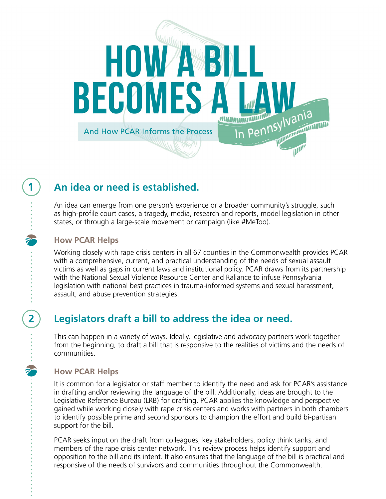

# **An idea or need is established.**

An idea can emerge from one person's experience or a broader community's struggle, such as high-profile court cases, a tragedy, media, research and reports, model legislation in other states, or through a large-scale movement or campaign (like #MeToo).

### **How PCAR Helps**

**1** 

**2** 

ż

Working closely with rape crisis centers in all 67 counties in the Commonwealth provides PCAR with a comprehensive, current, and practical understanding of the needs of sexual assault victims as well as gaps in current laws and institutional policy. PCAR draws from its partnership with the National Sexual Violence Resource Center and Raliance to infuse Pennsylvania legislation with national best practices in trauma-informed systems and sexual harassment, assault, and abuse prevention strategies.

### **Legislators draft a bill to address the idea or need.**

This can happen in a variety of ways. Ideally, legislative and advocacy partners work together from the beginning, to draft a bill that is responsive to the realities of victims and the needs of communities.

### **How PCAR Helps**

It is common for a legislator or staff member to identify the need and ask for PCAR's assistance in drafting and/or reviewing the language of the bill. Additionally, ideas are brought to the Legislative Reference Bureau (LRB) for drafting. PCAR applies the knowledge and perspective gained while working closely with rape crisis centers and works with partners in both chambers to identify possible prime and second sponsors to champion the effort and build bi-partisan support for the bill.

PCAR seeks input on the draft from colleagues, key stakeholders, policy think tanks, and members of the rape crisis center network. This review process helps identify support and opposition to the bill and its intent. It also ensures that the language of the bill is practical and responsive of the needs of survivors and communities throughout the Commonwealth.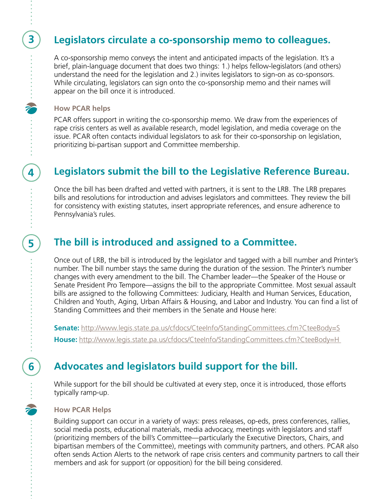### **Legislators circulate a co-sponsorship memo to colleagues.**

A co-sponsorship memo conveys the intent and anticipated impacts of the legislation. It's a brief, plain-language document that does two things: 1.) helps fellow-legislators (and others) understand the need for the legislation and 2.) invites legislators to sign-on as co-sponsors. While circulating, legislators can sign onto the co-sponsorship memo and their names will appear on the bill once it is introduced.

#### **How PCAR helps**

 **4** 

**3** 

 **5** 

**6** 

 $\tilde{\mathbf{z}}$ 

PCAR offers support in writing the co-sponsorship memo. We draw from the experiences of rape crisis centers as well as available research, model legislation, and media coverage on the issue. PCAR often contacts individual legislators to ask for their co-sponsorship on legislation, prioritizing bi-partisan support and Committee membership.

# **Legislators submit the bill to the Legislative Reference Bureau.**

Once the bill has been drafted and vetted with partners, it is sent to the LRB. The LRB prepares bills and resolutions for introduction and advises legislators and committees. They review the bill for consistency with existing statutes, insert appropriate references, and ensure adherence to Pennsylvania's rules.

## **The bill is introduced and assigned to a Committee.**

Once out of LRB, the bill is introduced by the legislator and tagged with a bill number and Printer's number. The bill number stays the same during the duration of the session. The Printer's number changes with every amendment to the bill. The Chamber leader—the Speaker of the House or Senate President Pro Tempore—assigns the bill to the appropriate Committee. Most sexual assault bills are assigned to the following Committees: Judiciary, Health and Human Services, Education, Children and Youth, Aging, Urban Affairs & Housing, and Labor and Industry. You can find a list of Standing Committees and their members in the Senate and House here:

**Senate:** http://www.legis.state.pa.us/cfdocs/CteeInfo/StandingCommittees.cfm?CteeBody=S House: http://www.legis.state.pa.us/cfdocs/CteeInfo/StandingCommittees.cfm?CteeBody=H

# **Advocates and legislators build support for the bill.**

While support for the bill should be cultivated at every step, once it is introduced, those efforts typically ramp-up.

#### **How PCAR Helps**

Building support can occur in a variety of ways: press releases, op-eds, press conferences, rallies, social media posts, educational materials, media advocacy, meetings with legislators and staff (prioritizing members of the bill's Committee—particularly the Executive Directors, Chairs, and bipartisan members of the Committee), meetings with community partners, and others. PCAR also often sends Action Alerts to the network of rape crisis centers and community partners to call their members and ask for support (or opposition) for the bill being considered.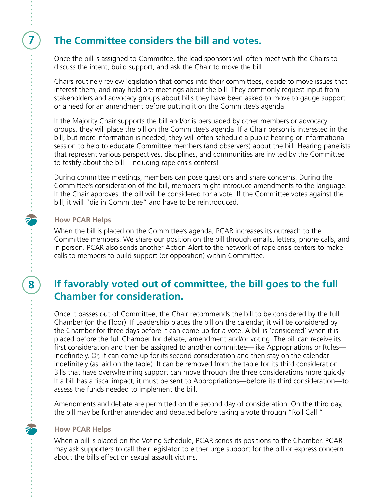### **7 The Committee considers the bill and votes.**

Once the bill is assigned to Committee, the lead sponsors will often meet with the Chairs to discuss the intent, build support, and ask the Chair to move the bill.

Chairs routinely review legislation that comes into their committees, decide to move issues that interest them, and may hold pre-meetings about the bill. They commonly request input from stakeholders and advocacy groups about bills they have been asked to move to gauge support or a need for an amendment before putting it on the Committee's agenda.

If the Majority Chair supports the bill and/or is persuaded by other members or advocacy groups, they will place the bill on the Committee's agenda. If a Chair person is interested in the bill, but more information is needed, they will often schedule a public hearing or informational session to help to educate Committee members (and observers) about the bill. Hearing panelists that represent various perspectives, disciplines, and communities are invited by the Committee to testify about the bill—including rape crisis centers!

During committee meetings, members can pose questions and share concerns. During the Committee's consideration of the bill, members might introduce amendments to the language. If the Chair approves, the bill will be considered for a vote. If the Committee votes against the bill, it will "die in Committee" and have to be reintroduced.

#### **How PCAR Helps**

 **8** 

When the bill is placed on the Committee's agenda, PCAR increases its outreach to the Committee members. We share our position on the bill through emails, letters, phone calls, and in person. PCAR also sends another Action Alert to the network of rape crisis centers to make calls to members to build support (or opposition) within Committee.

### **If favorably voted out of committee, the bill goes to the full Chamber for consideration.**

Once it passes out of Committee, the Chair recommends the bill to be considered by the full Chamber (on the Floor). If Leadership places the bill on the calendar, it will be considered by the Chamber for three days before it can come up for a vote. A bill is 'considered' when it is placed before the full Chamber for debate, amendment and/or voting. The bill can receive its first consideration and then be assigned to another committee—like Appropriations or Rules indefinitely. Or, it can come up for its second consideration and then stay on the calendar indefinitely (as laid on the table). It can be removed from the table for its third consideration. Bills that have overwhelming support can move through the three considerations more quickly. If a bill has a fiscal impact, it must be sent to Appropriations—before its third consideration—to assess the funds needed to implement the bill.

Amendments and debate are permitted on the second day of consideration. On the third day, the bill may be further amended and debated before taking a vote through "Roll Call."

#### **How PCAR Helps**

When a bill is placed on the Voting Schedule, PCAR sends its positions to the Chamber. PCAR may ask supporters to call their legislator to either urge support for the bill or express concern about the bill's effect on sexual assault victims.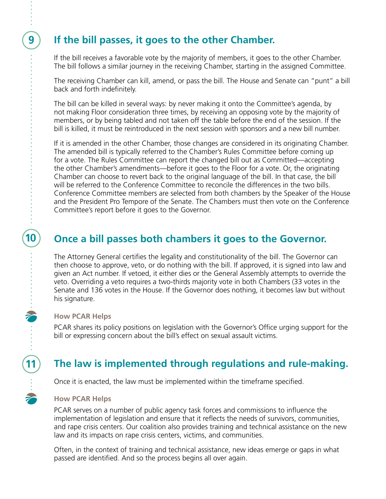## **If the bill passes, it goes to the other Chamber.**

If the bill receives a favorable vote by the majority of members, it goes to the other Chamber. The bill follows a similar journey in the receiving Chamber, starting in the assigned Committee.

The receiving Chamber can kill, amend, or pass the bill. The House and Senate can "punt" a bill back and forth indefinitely.

The bill can be killed in several ways: by never making it onto the Committee's agenda, by not making Floor consideration three times, by receiving an opposing vote by the majority of members, or by being tabled and not taken off the table before the end of the session. If the bill is killed, it must be reintroduced in the next session with sponsors and a new bill number.

If it is amended in the other Chamber, those changes are considered in its originating Chamber. The amended bill is typically referred to the Chamber's Rules Committee before coming up for a vote. The Rules Committee can report the changed bill out as Committed—accepting the other Chamber's amendments—before it goes to the Floor for a vote. Or, the originating Chamber can choose to revert back to the original language of the bill. In that case, the bill will be referred to the Conference Committee to reconcile the differences in the two bills. Conference Committee members are selected from both chambers by the Speaker of the House and the President Pro Tempore of the Senate. The Chambers must then vote on the Conference Committee's report before it goes to the Governor.

# **Once a bill passes both chambers it goes to the Governor.**

The Attorney General certifies the legality and constitutionality of the bill. The Governor can then choose to approve, veto, or do nothing with the bill. If approved, it is signed into law and given an Act number. If vetoed, it either dies or the General Assembly attempts to override the veto. Overriding a veto requires a two-thirds majority vote in both Chambers (33 votes in the Senate and 136 votes in the House. If the Governor does nothing, it becomes law but without his signature.

#### **How PCAR Helps**

**9** 

**10** 

**11** 

PCAR shares its policy positions on legislation with the Governor's Office urging support for the bill or expressing concern about the bill's effect on sexual assault victims.

# **The law is implemented through regulations and rule-making.**

Once it is enacted, the law must be implemented within the timeframe specified.

#### **How PCAR Helps**

PCAR serves on a number of public agency task forces and commissions to influence the implementation of legislation and ensure that it reflects the needs of survivors, communities, and rape crisis centers. Our coalition also provides training and technical assistance on the new law and its impacts on rape crisis centers, victims, and communities.

Often, in the context of training and technical assistance, new ideas emerge or gaps in what passed are identified. And so the process begins all over again.